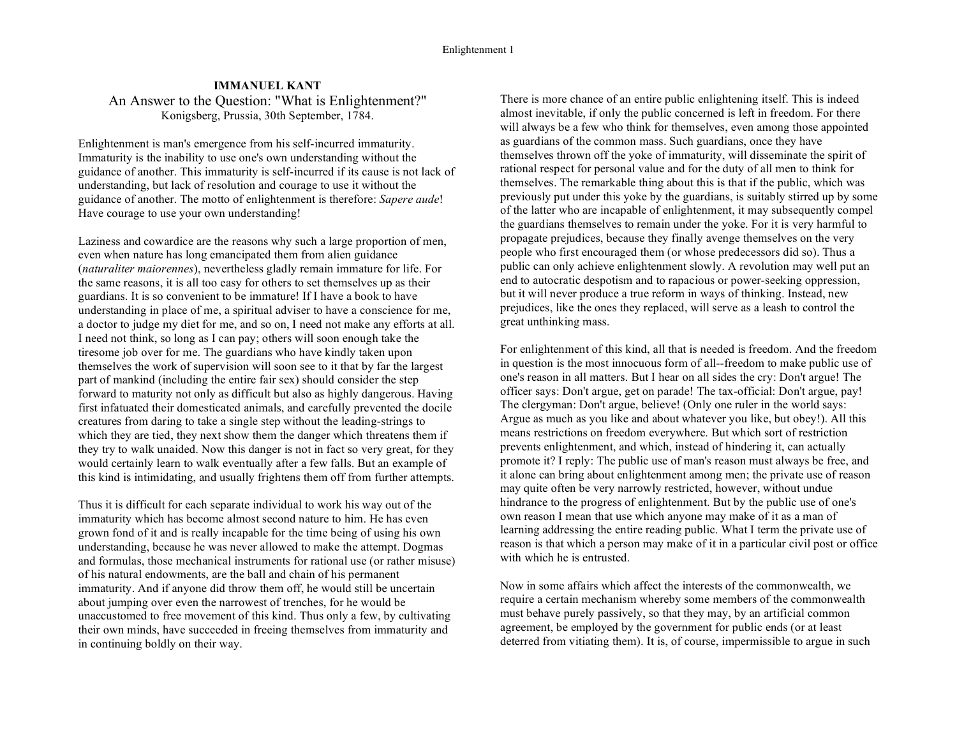## **IMMANUEL KANT** An Answer to the Question: "What is Enlightenment?" Konigsberg, Prussia, 30th September, 1784.

Enlightenment is man's emergence from his self-incurred immaturity. Immaturity is the inability to use one's own understanding without the guidance of another. This immaturity is self-incurred if its cause is not lack of understanding, but lack of resolution and courage to use it without the guidance of another. The motto of enlightenment is therefore: *Sapere aude*! Have courage to use your own understanding!

Laziness and cowardice are the reasons why such a large proportion of men, even when nature has long emancipated them from alien guidance (*naturaliter maiorennes*), nevertheless gladly remain immature for life. For the same reasons, it is all too easy for others to set themselves up as their guardians. It is so convenient to be immature! If I have a book to have understanding in place of me, a spiritual adviser to have a conscience for me, a doctor to judge my diet for me, and so on, I need not make any efforts at all. I need not think, so long as I can pay; others will soon enough take the tiresome job over for me. The guardians who have kindly taken upon themselves the work of supervision will soon see to it that by far the largest part of mankind (including the entire fair sex) should consider the step forward to maturity not only as difficult but also as highly dangerous. Having first infatuated their domesticated animals, and carefully prevented the docile creatures from daring to take a single step without the leading-strings to which they are tied, they next show them the danger which threatens them if they try to walk unaided. Now this danger is not in fact so very great, for they would certainly learn to walk eventually after a few falls. But an example of this kind is intimidating, and usually frightens them off from further attempts.

Thus it is difficult for each separate individual to work his way out of the immaturity which has become almost second nature to him. He has even grown fond of it and is really incapable for the time being of using his own understanding, because he was never allowed to make the attempt. Dogmas and formulas, those mechanical instruments for rational use (or rather misuse) of his natural endowments, are the ball and chain of his permanent immaturity. And if anyone did throw them off, he would still be uncertain about jumping over even the narrowest of trenches, for he would be unaccustomed to free movement of this kind. Thus only a few, by cultivating their own minds, have succeeded in freeing themselves from immaturity and in continuing boldly on their way.

There is more chance of an entire public enlightening itself. This is indeed almost inevitable, if only the public concerned is left in freedom. For there will always be a few who think for themselves, even among those appointed as guardians of the common mass. Such guardians, once they have themselves thrown off the yoke of immaturity, will disseminate the spirit of rational respect for personal value and for the duty of all men to think for themselves. The remarkable thing about this is that if the public, which was previously put under this yoke by the guardians, is suitably stirred up by some of the latter who are incapable of enlightenment, it may subsequently compel the guardians themselves to remain under the yoke. For it is very harmful to propagate prejudices, because they finally avenge themselves on the very people who first encouraged them (or whose predecessors did so). Thus a public can only achieve enlightenment slowly. A revolution may well put an end to autocratic despotism and to rapacious or power-seeking oppression, but it will never produce a true reform in ways of thinking. Instead, new prejudices, like the ones they replaced, will serve as a leash to control the great unthinking mass.

For enlightenment of this kind, all that is needed is freedom. And the freedom in question is the most innocuous form of all--freedom to make public use of one's reason in all matters. But I hear on all sides the cry: Don't argue! The officer says: Don't argue, get on parade! The tax-official: Don't argue, pay! The clergyman: Don't argue, believe! (Only one ruler in the world says: Argue as much as you like and about whatever you like, but obey!). All this means restrictions on freedom everywhere. But which sort of restriction prevents enlightenment, and which, instead of hindering it, can actually promote it? I reply: The public use of man's reason must always be free, and it alone can bring about enlightenment among men; the private use of reason may quite often be very narrowly restricted, however, without undue hindrance to the progress of enlightenment. But by the public use of one's own reason I mean that use which anyone may make of it as a man of learning addressing the entire reading public. What I term the private use of reason is that which a person may make of it in a particular civil post or office with which he is entrusted.

Now in some affairs which affect the interests of the commonwealth, we require a certain mechanism whereby some members of the commonwealth must behave purely passively, so that they may, by an artificial common agreement, be employed by the government for public ends (or at least deterred from vitiating them). It is, of course, impermissible to argue in such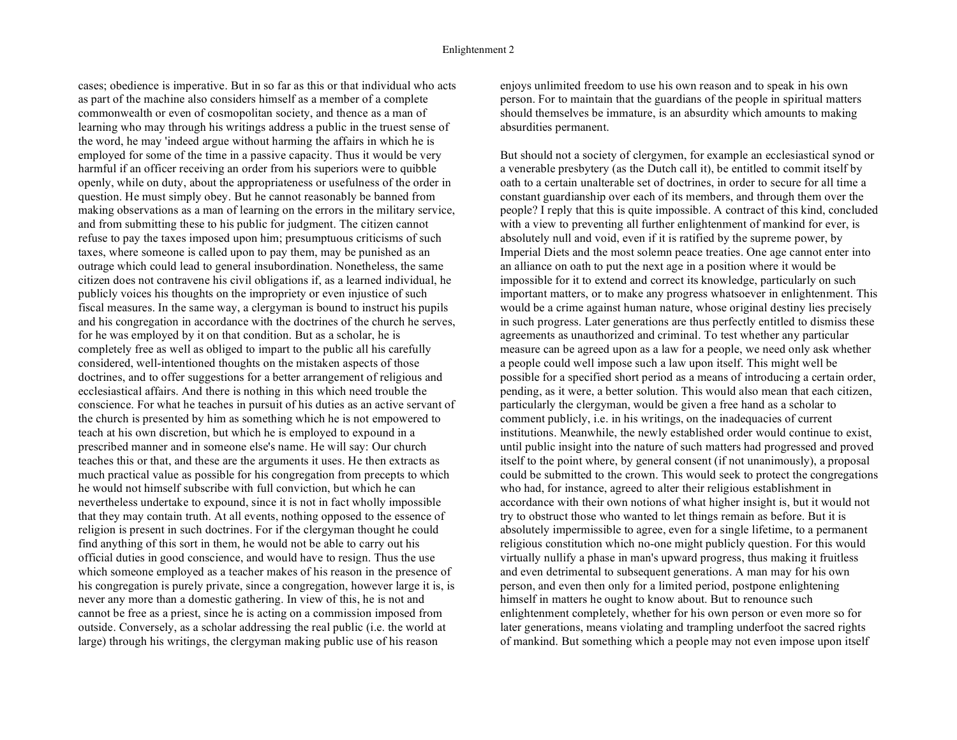cases; obedience is imperative. But in so far as this or that individual who acts as part of the machine also considers himself as a member of a complete commonwealth or even of cosmopolitan society, and thence as a man of learning who may through his writings address a public in the truest sense of the word, he may 'indeed argue without harming the affairs in which he is employed for some of the time in a passive capacity. Thus it would be very harmful if an officer receiving an order from his superiors were to quibble openly, while on duty, about the appropriateness or usefulness of the order in question. He must simply obey. But he cannot reasonably be banned from making observations as a man of learning on the errors in the military service, and from submitting these to his public for judgment. The citizen cannot refuse to pay the taxes imposed upon him; presumptuous criticisms of such taxes, where someone is called upon to pay them, may be punished as an outrage which could lead to general insubordination. Nonetheless, the same citizen does not contravene his civil obligations if, as a learned individual, he publicly voices his thoughts on the impropriety or even injustice of such fiscal measures. In the same way, a clergyman is bound to instruct his pupils and his congregation in accordance with the doctrines of the church he serves, for he was employed by it on that condition. But as a scholar, he is completely free as well as obliged to impart to the public all his carefully considered, well-intentioned thoughts on the mistaken aspects of those doctrines, and to offer suggestions for a better arrangement of religious and ecclesiastical affairs. And there is nothing in this which need trouble the conscience. For what he teaches in pursuit of his duties as an active servant of the church is presented by him as something which he is not empowered to teach at his own discretion, but which he is employed to expound in a prescribed manner and in someone else's name. He will say: Our church teaches this or that, and these are the arguments it uses. He then extracts as much practical value as possible for his congregation from precepts to which he would not himself subscribe with full conviction, but which he can nevertheless undertake to expound, since it is not in fact wholly impossible that they may contain truth. At all events, nothing opposed to the essence of religion is present in such doctrines. For if the clergyman thought he could find anything of this sort in them, he would not be able to carry out his official duties in good conscience, and would have to resign. Thus the use which someone employed as a teacher makes of his reason in the presence of his congregation is purely private, since a congregation, however large it is, is never any more than a domestic gathering. In view of this, he is not and cannot be free as a priest, since he is acting on a commission imposed from outside. Conversely, as a scholar addressing the real public (i.e. the world at large) through his writings, the clergyman making public use of his reason

enjoys unlimited freedom to use his own reason and to speak in his own person. For to maintain that the guardians of the people in spiritual matters should themselves be immature, is an absurdity which amounts to making absurdities permanent.

But should not a society of clergymen, for example an ecclesiastical synod or a venerable presbytery (as the Dutch call it), be entitled to commit itself by oath to a certain unalterable set of doctrines, in order to secure for all time a constant guardianship over each of its members, and through them over the people? I reply that this is quite impossible. A contract of this kind, concluded with a view to preventing all further enlightenment of mankind for ever, is absolutely null and void, even if it is ratified by the supreme power, by Imperial Diets and the most solemn peace treaties. One age cannot enter into an alliance on oath to put the next age in a position where it would be impossible for it to extend and correct its knowledge, particularly on such important matters, or to make any progress whatsoever in enlightenment. This would be a crime against human nature, whose original destiny lies precisely in such progress. Later generations are thus perfectly entitled to dismiss these agreements as unauthorized and criminal. To test whether any particular measure can be agreed upon as a law for a people, we need only ask whether a people could well impose such a law upon itself. This might well be possible for a specified short period as a means of introducing a certain order, pending, as it were, a better solution. This would also mean that each citizen, particularly the clergyman, would be given a free hand as a scholar to comment publicly, i.e. in his writings, on the inadequacies of current institutions. Meanwhile, the newly established order would continue to exist, until public insight into the nature of such matters had progressed and proved itself to the point where, by general consent (if not unanimously), a proposal could be submitted to the crown. This would seek to protect the congregations who had, for instance, agreed to alter their religious establishment in accordance with their own notions of what higher insight is, but it would not try to obstruct those who wanted to let things remain as before. But it is absolutely impermissible to agree, even for a single lifetime, to a permanent religious constitution which no-one might publicly question. For this would virtually nullify a phase in man's upward progress, thus making it fruitless and even detrimental to subsequent generations. A man may for his own person, and even then only for a limited period, postpone enlightening himself in matters he ought to know about. But to renounce such enlightenment completely, whether for his own person or even more so for later generations, means violating and trampling underfoot the sacred rights of mankind. But something which a people may not even impose upon itself